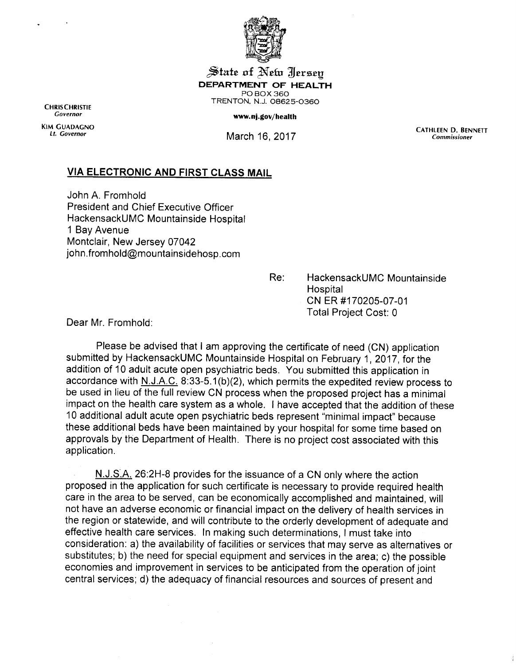

 $\mathcal{\widetilde{S}}$ tate of  $\mathbb{N}% _{2}$ efo  $\mathbb{Z}_{2}^{n}$  are  $\mathbb{N}$ efo  $\mathbb{N}$ efo  $\mathbb{N}$ ersey *DEPARTMENT OF HEALTH* POBOX360 TRENTON, N.J. 08625-0360<br>
Covernor<br>
Covernor

www.nj.gov/health

KIM GUADAGNO<br>
Lt. Governor March 16, 2017 **Commissioner** 

## *VIA ELECTRONIC AND FIRST CLASS MAIL*

John A. Fromhold President and Chief Executive Officer HackensackUMC Mountainside Hospital 1 Bay Avenue Montclair, New Jersey 07042 john.fromhold@mountainsidehosp.com

> Re: HackensackUMC Mountainside **Hospital** CNER #170205-07-01 Total Project Cost: 0

Dear Mr. Fromhold:

Please be advised that I am approving the certificate of need (CN) application submitted by HackensackUMC Mountainside Hospital on February 1, 2017, for the addition of 10 adult acute open psychiatric beds. You submitted this application in accordance with N.J.A.C. 8:33-5.1(b)(2), which permits the expedited review process to be used in lieu of the full review CN process when the proposed project has a minimal impact on the health care system as a whole. I have accepted that the addition of these 10 additional adult acute open psychiatric beds represent "minimal impact" because these additional beds have been maintained by your hospital for some time based on approvals by the Department of Health. There is no project cost associated with this application.

N.J.S.A. 26:2H-8 provides for the issuance of a CN only where the action proposed in the application for such certificate is necessary to provide required health care in the area to be served, can be economically accomplished and maintained, will not have an adverse economic or financial impact on the delivery of health services in the region or statewide, and will contribute to the orderly development of adequate and effective health care services. In making such determinations, I must take into consideration: a) the availability of facilities or services that may serve as alternatives or substitutes; b) the need for special equipment and services in the area; c) the possible economies and improvement in services to be anticipated from the operation of joint central services; d) the adequacy of financial resources and sources of present and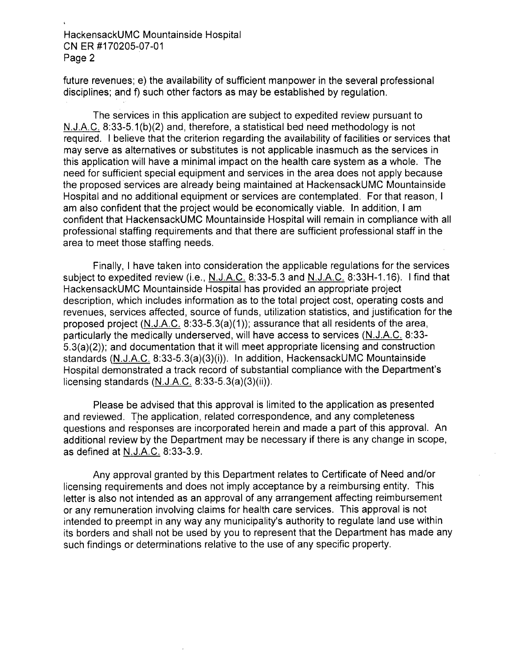HackensackUMC Mountainside Hospital CNER #170205-07-01 Page 2

future revenues; e) the availability of sufficient manpower in the several professional disciplines; and f) such other factors as may be established by regulation.

The services in this application are subject to expedited review pursuant to N.J.A.C. 8:33-5.1(b)(2) and, therefore, a statistical bed need methodology is not required. I believe that the criterion regarding the availability of facilities or services that may serve as alternatives or substitutes is not applicable inasmuch as the services in this application will have a minimal impact on the health care system as a whole. The need for sufficient special equipment and services in the area does not apply because the proposed services are already being maintained at HackensackUMC Mountainside Hospital and no additional equipment or services are contemplated. For that reason, I am also confident that the project would be economically viable. In addition, I am confident that HackensackUMC Mountainside Hospital will remain in compliance with all professional staffing requirements and that there are sufficient professional staff in the area to meet those staffing needs.

Finally, I have taken into consideration the applicable regulations for the services subject to expedited review (i.e., N.J.A.C. 8:33-5.3 and N.J.A.C. 8:33H-1.16). I find that HackensackUMC Mountainside Hospital has provided an appropriate project description, which includes information as to the total project cost, operating costs and revenues, services affected, source of funds, utilization statistics, and justification for the proposed project (N.J.A.C. 8:33-5.3(a)(1)); assurance that all residents of the area, particularly the medically underserved, will have access to services (N.J.A.C. 8:33- 5.3(a)(2)); and documentation that it will meet appropriate licensing and construction standards (N.J.A.C. 8:33-5.3(a)(3)(i)). In addition, HackensackUMC Mountainside Hospital demonstrated a track record of substantial compliance with the Department's licensing standards  $(N.J.A.C. 8:33-5.3(a)(3)(ii))$ .

Please be advised that this approval is limited to the application as presented and reviewed. The application, related correspondence, and any completeness questions and responses are incorporated herein and made a part of this approval. An additional review by the Department may be necessary if there is any change in scope, as defined at N.J.A.C. 8:33-3.9.

Any approval granted by this Department relates to Certificate of Need and/or licensing requirements and does not imply acceptance by a reimbursing entity. This letter is also not intended as an approval of any arrangement affecting reimbursement or any remuneration involving claims for health care services. This approval is not intended to preempt in any way any municipality's authority to regulate land use within its borders and shall not be used by you to represent that the Department has made any such findings or determinations relative to the use of any specific property.